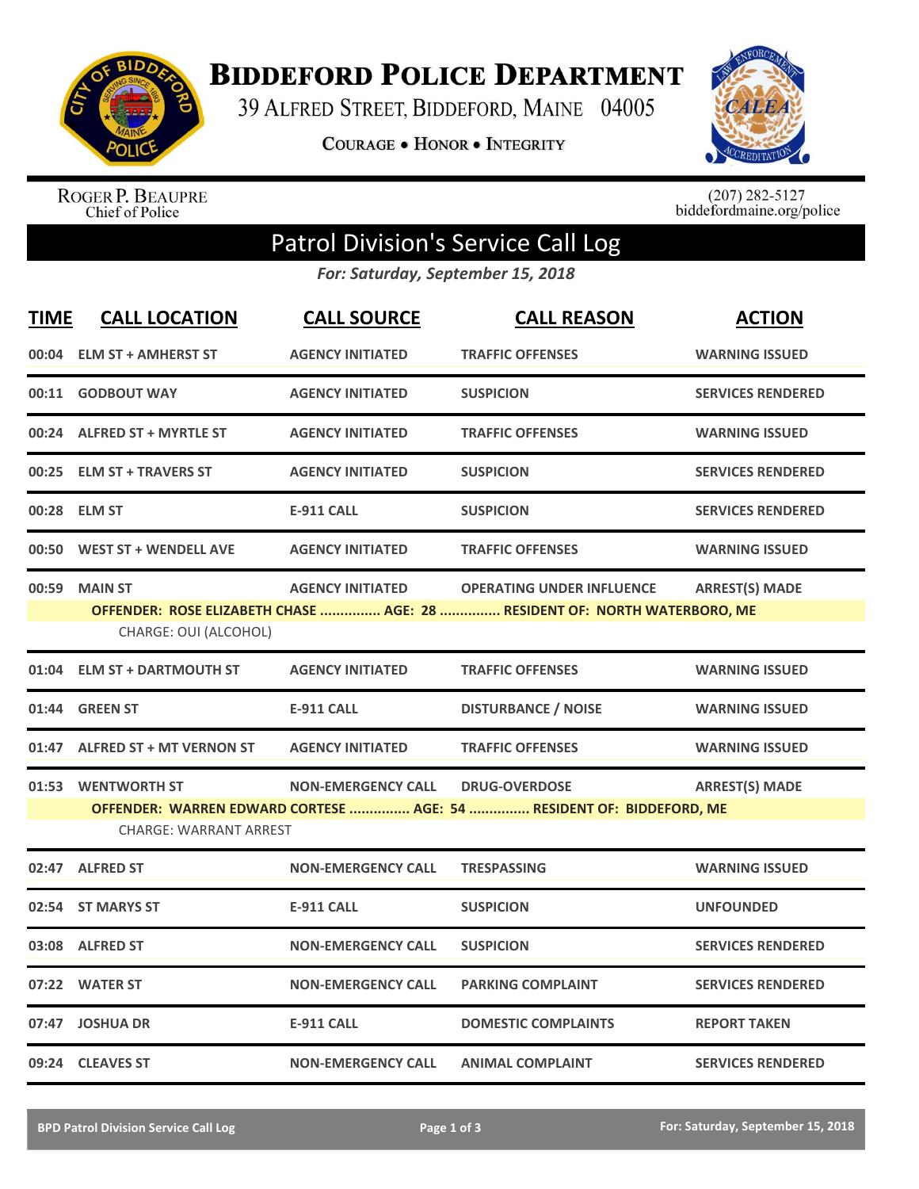

**BIDDEFORD POLICE DEPARTMENT** 

39 ALFRED STREET, BIDDEFORD, MAINE 04005

**COURAGE . HONOR . INTEGRITY** 



ROGER P. BEAUPRE<br>Chief of Police

 $(207)$  282-5127<br>biddefordmaine.org/police

## Patrol Division's Service Call Log

*For: Saturday, September 15, 2018*

| <b>TIME</b> | <b>CALL LOCATION</b>                                | <b>CALL SOURCE</b>        | <b>CALL REASON</b>                                                                                            | <b>ACTION</b>            |
|-------------|-----------------------------------------------------|---------------------------|---------------------------------------------------------------------------------------------------------------|--------------------------|
|             | 00:04 ELM ST + AMHERST ST                           | <b>AGENCY INITIATED</b>   | <b>TRAFFIC OFFENSES</b>                                                                                       | <b>WARNING ISSUED</b>    |
| 00:11       | <b>GODBOUT WAY</b>                                  | <b>AGENCY INITIATED</b>   | <b>SUSPICION</b>                                                                                              | <b>SERVICES RENDERED</b> |
|             | 00:24 ALFRED ST + MYRTLE ST                         | <b>AGENCY INITIATED</b>   | <b>TRAFFIC OFFENSES</b>                                                                                       | <b>WARNING ISSUED</b>    |
| 00:25       | <b>ELM ST + TRAVERS ST</b>                          | <b>AGENCY INITIATED</b>   | <b>SUSPICION</b>                                                                                              | <b>SERVICES RENDERED</b> |
|             | 00:28 ELM ST                                        | <b>E-911 CALL</b>         | <b>SUSPICION</b>                                                                                              | <b>SERVICES RENDERED</b> |
| 00:50       | <b>WEST ST + WENDELL AVE</b>                        | <b>AGENCY INITIATED</b>   | <b>TRAFFIC OFFENSES</b>                                                                                       | <b>WARNING ISSUED</b>    |
|             | 00:59 MAIN ST<br>CHARGE: OUI (ALCOHOL)              | <b>AGENCY INITIATED</b>   | <b>OPERATING UNDER INFLUENCE</b><br>OFFENDER: ROSE ELIZABETH CHASE  AGE: 28  RESIDENT OF: NORTH WATERBORO, ME | <b>ARREST(S) MADE</b>    |
| 01:04       | <b>ELM ST + DARTMOUTH ST</b>                        | <b>AGENCY INITIATED</b>   | <b>TRAFFIC OFFENSES</b>                                                                                       | <b>WARNING ISSUED</b>    |
|             | 01:44 GREEN ST                                      | <b>E-911 CALL</b>         | <b>DISTURBANCE / NOISE</b>                                                                                    | <b>WARNING ISSUED</b>    |
|             | 01:47 ALFRED ST + MT VERNON ST                      | <b>AGENCY INITIATED</b>   | <b>TRAFFIC OFFENSES</b>                                                                                       | <b>WARNING ISSUED</b>    |
|             | 01:53 WENTWORTH ST<br><b>CHARGE: WARRANT ARREST</b> | <b>NON-EMERGENCY CALL</b> | <b>DRUG-OVERDOSE</b><br>OFFENDER: WARREN EDWARD CORTESE  AGE: 54  RESIDENT OF: BIDDEFORD, ME                  | <b>ARREST(S) MADE</b>    |
|             | 02:47 ALFRED ST                                     | <b>NON-EMERGENCY CALL</b> | <b>TRESPASSING</b>                                                                                            | <b>WARNING ISSUED</b>    |
|             | 02:54 ST MARYS ST                                   | <b>E-911 CALL</b>         | <b>SUSPICION</b>                                                                                              | <b>UNFOUNDED</b>         |
|             | 03:08 ALFRED ST                                     | <b>NON-EMERGENCY CALL</b> | <b>SUSPICION</b>                                                                                              | <b>SERVICES RENDERED</b> |
|             | 07:22 WATER ST                                      | <b>NON-EMERGENCY CALL</b> | <b>PARKING COMPLAINT</b>                                                                                      | <b>SERVICES RENDERED</b> |
|             | 07:47 JOSHUA DR                                     | <b>E-911 CALL</b>         | <b>DOMESTIC COMPLAINTS</b>                                                                                    | <b>REPORT TAKEN</b>      |
|             | 09:24 CLEAVES ST                                    | <b>NON-EMERGENCY CALL</b> | <b>ANIMAL COMPLAINT</b>                                                                                       | <b>SERVICES RENDERED</b> |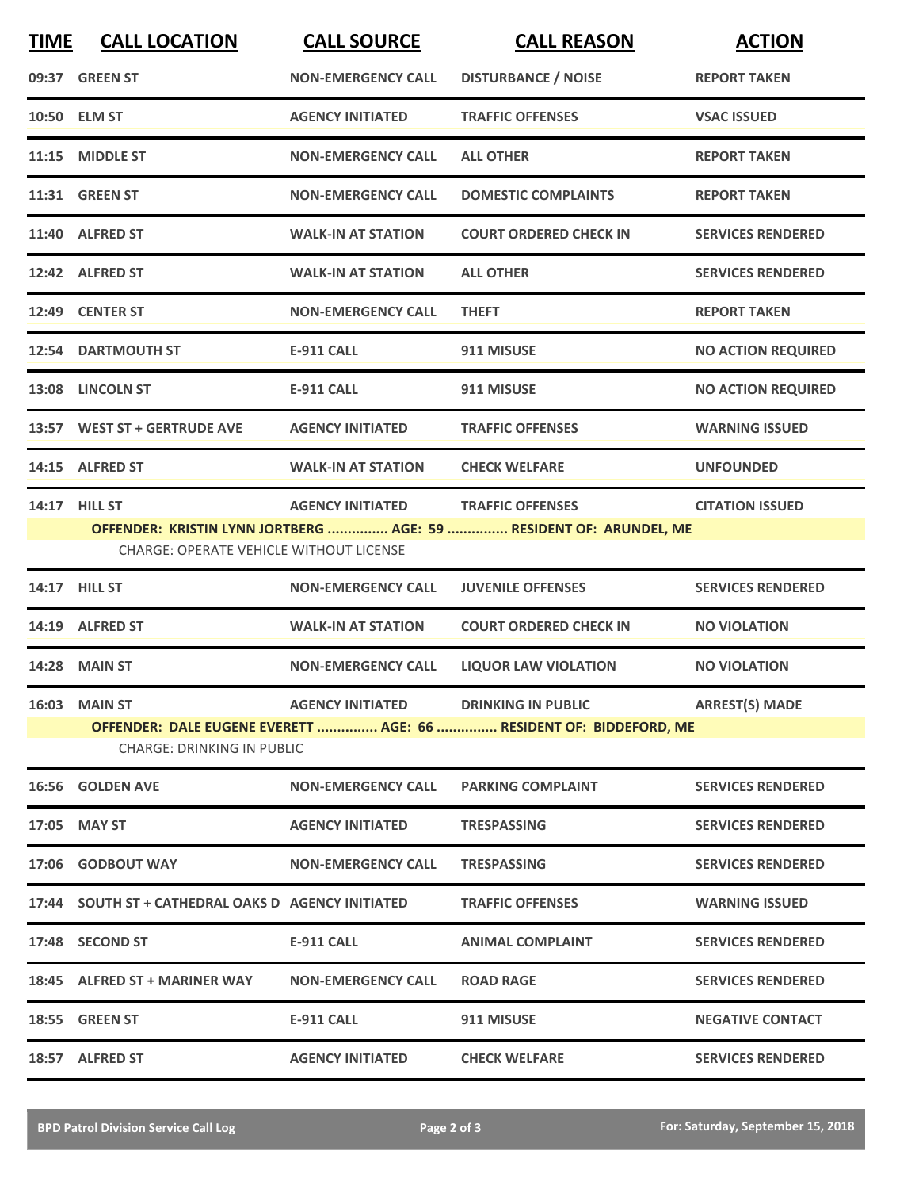| <b>TIME</b> | <b>CALL LOCATION</b>                                            | <b>CALL SOURCE</b>        | <b>CALL REASON</b>                                                                              | <b>ACTION</b>             |
|-------------|-----------------------------------------------------------------|---------------------------|-------------------------------------------------------------------------------------------------|---------------------------|
|             | 09:37 GREEN ST                                                  | <b>NON-EMERGENCY CALL</b> | <b>DISTURBANCE / NOISE</b>                                                                      | <b>REPORT TAKEN</b>       |
|             | 10:50 ELM ST                                                    | <b>AGENCY INITIATED</b>   | <b>TRAFFIC OFFENSES</b>                                                                         | <b>VSAC ISSUED</b>        |
|             | 11:15 MIDDLE ST                                                 | <b>NON-EMERGENCY CALL</b> | <b>ALL OTHER</b>                                                                                | <b>REPORT TAKEN</b>       |
|             | <b>11:31 GREEN ST</b>                                           | <b>NON-EMERGENCY CALL</b> | <b>DOMESTIC COMPLAINTS</b>                                                                      | <b>REPORT TAKEN</b>       |
|             | 11:40 ALFRED ST                                                 | <b>WALK-IN AT STATION</b> | <b>COURT ORDERED CHECK IN</b>                                                                   | <b>SERVICES RENDERED</b>  |
|             | 12:42 ALFRED ST                                                 | <b>WALK-IN AT STATION</b> | <b>ALL OTHER</b>                                                                                | <b>SERVICES RENDERED</b>  |
|             | 12:49 CENTER ST                                                 | <b>NON-EMERGENCY CALL</b> | <b>THEFT</b>                                                                                    | <b>REPORT TAKEN</b>       |
|             | <b>12:54 DARTMOUTH ST</b>                                       | <b>E-911 CALL</b>         | 911 MISUSE                                                                                      | <b>NO ACTION REQUIRED</b> |
|             | 13:08 LINCOLN ST                                                | <b>E-911 CALL</b>         | 911 MISUSE                                                                                      | <b>NO ACTION REQUIRED</b> |
|             | 13:57 WEST ST + GERTRUDE AVE                                    | <b>AGENCY INITIATED</b>   | <b>TRAFFIC OFFENSES</b>                                                                         | <b>WARNING ISSUED</b>     |
|             | 14:15 ALFRED ST                                                 | <b>WALK-IN AT STATION</b> | <b>CHECK WELFARE</b>                                                                            | <b>UNFOUNDED</b>          |
|             | 14:17 HILL ST<br><b>CHARGE: OPERATE VEHICLE WITHOUT LICENSE</b> | <b>AGENCY INITIATED</b>   | <b>TRAFFIC OFFENSES</b><br>OFFENDER: KRISTIN LYNN JORTBERG  AGE: 59  RESIDENT OF: ARUNDEL, ME   | <b>CITATION ISSUED</b>    |
|             | 14:17 HILL ST                                                   | <b>NON-EMERGENCY CALL</b> | <b>JUVENILE OFFENSES</b>                                                                        | <b>SERVICES RENDERED</b>  |
|             | 14:19 ALFRED ST                                                 | <b>WALK-IN AT STATION</b> | <b>COURT ORDERED CHECK IN</b>                                                                   | <b>NO VIOLATION</b>       |
|             | <b>14:28 MAIN ST</b>                                            | <b>NON-EMERGENCY CALL</b> | <b>LIQUOR LAW VIOLATION</b>                                                                     | <b>NO VIOLATION</b>       |
|             | <b>16:03 MAIN ST</b><br><b>CHARGE: DRINKING IN PUBLIC</b>       | <b>AGENCY INITIATED</b>   | <b>DRINKING IN PUBLIC</b><br>OFFENDER: DALE EUGENE EVERETT  AGE: 66  RESIDENT OF: BIDDEFORD, ME | <b>ARREST(S) MADE</b>     |
|             | 16:56 GOLDEN AVE                                                | <b>NON-EMERGENCY CALL</b> | <b>PARKING COMPLAINT</b>                                                                        | <b>SERVICES RENDERED</b>  |
|             | 17:05 MAY ST                                                    | <b>AGENCY INITIATED</b>   | <b>TRESPASSING</b>                                                                              | <b>SERVICES RENDERED</b>  |
|             | 17:06 GODBOUT WAY                                               | <b>NON-EMERGENCY CALL</b> | <b>TRESPASSING</b>                                                                              | <b>SERVICES RENDERED</b>  |
|             | 17:44 SOUTH ST + CATHEDRAL OAKS D AGENCY INITIATED              |                           | <b>TRAFFIC OFFENSES</b>                                                                         | <b>WARNING ISSUED</b>     |
|             | 17:48 SECOND ST                                                 | E-911 CALL                | <b>ANIMAL COMPLAINT</b>                                                                         | <b>SERVICES RENDERED</b>  |
|             | 18:45 ALFRED ST + MARINER WAY                                   | <b>NON-EMERGENCY CALL</b> | <b>ROAD RAGE</b>                                                                                | <b>SERVICES RENDERED</b>  |
|             | 18:55 GREEN ST                                                  | <b>E-911 CALL</b>         | 911 MISUSE                                                                                      | <b>NEGATIVE CONTACT</b>   |
|             | 18:57 ALFRED ST                                                 | <b>AGENCY INITIATED</b>   | <b>CHECK WELFARE</b>                                                                            | <b>SERVICES RENDERED</b>  |